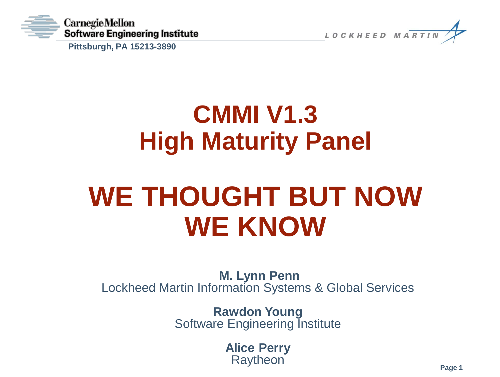

**Pittsburgh, PA 15213-3890**



## **CMMI V1.3 High Maturity Panel**

## **WE THOUGHT BUT NOW WE KNOW**

**M. Lynn Penn** Lockheed Martin Information Systems & Global Services

> **Rawdon Young** Software Engineering Institute

> > **Alice Perry Raytheon**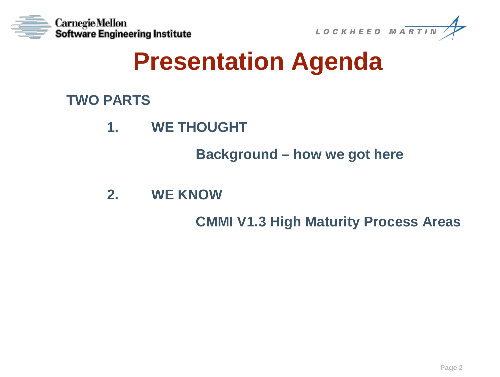



## **Presentation Agenda**

**TWO PARTS**

**1. WE THOUGHT**

**Background – how we got here**

**2. WE KNOW**

**CMMI V1.3 High Maturity Process Areas**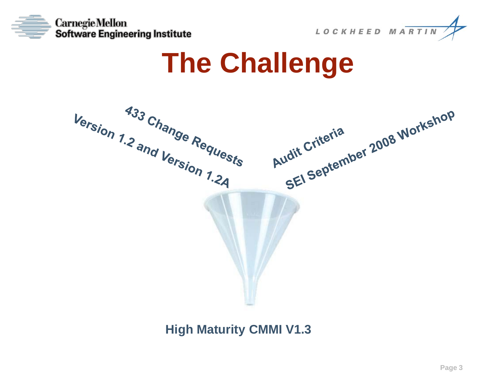



## **The Challenge**



**High Maturity CMMI V1.3**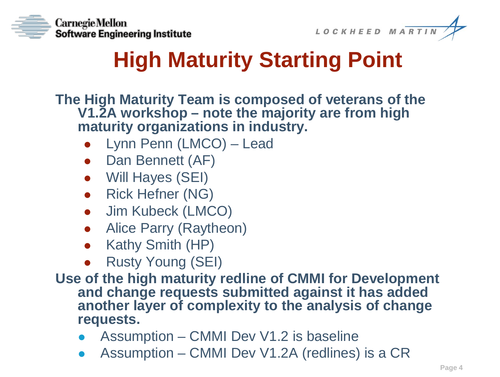



## **High Maturity Starting Point**

**The High Maturity Team is composed of veterans of the V1.2A workshop – note the majority are from high maturity organizations in industry.**

- Lynn Penn (LMCO) Lead
- Dan Bennett (AF)
- Will Hayes (SEI)
- Rick Hefner (NG)
- Jim Kubeck (LMCO)
- Alice Parry (Raytheon)
- Kathy Smith (HP)
- Rusty Young (SEI)
- **Use of the high maturity redline of CMMI for Development and change requests submitted against it has added another layer of complexity to the analysis of change requests.**
	- Assumption CMMI Dev V1.2 is baseline
	- Assumption CMMI Dev V1.2A (redlines) is a CR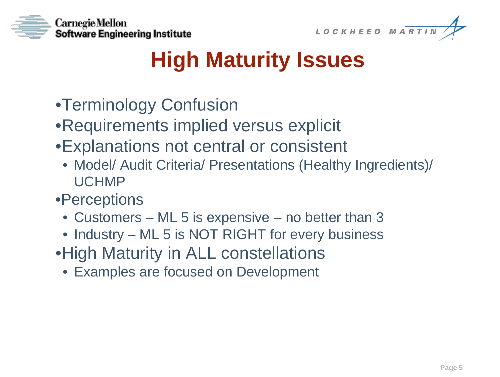



## **High Maturity Issues**

- •Terminology Confusion
- •Requirements implied versus explicit
- •Explanations not central or consistent
	- Model/ Audit Criteria/ Presentations (Healthy Ingredients)/ UCHMP
- •Perceptions
	- Customers ML 5 is expensive no better than 3
	- Industry ML 5 is NOT RIGHT for every business
- •High Maturity in ALL constellations
	- Examples are focused on Development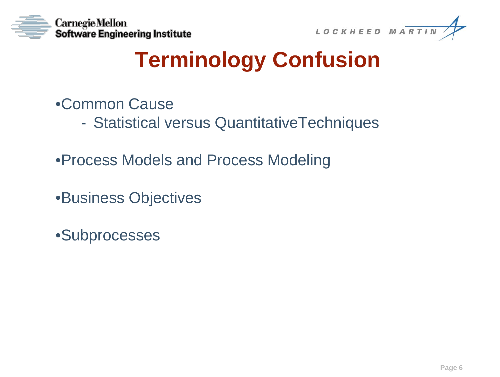



## **Terminology Confusion**

- •Common Cause
	- Statistical versus QuantitativeTechniques
- •Process Models and Process Modeling
- •Business Objectives
- •Subprocesses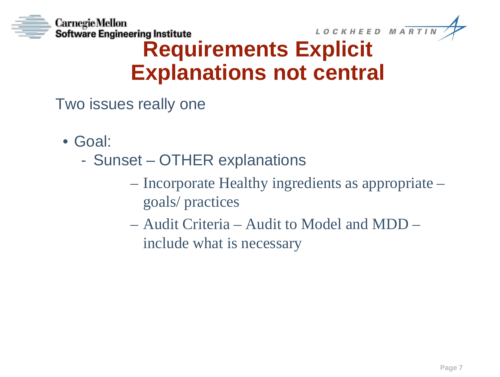



### **Requirements Explicit Explanations not central**

Two issues really one

- Goal:
	- Sunset OTHER explanations
		- Incorporate Healthy ingredients as appropriate goals/ practices
		- Audit Criteria Audit to Model and MDD include what is necessary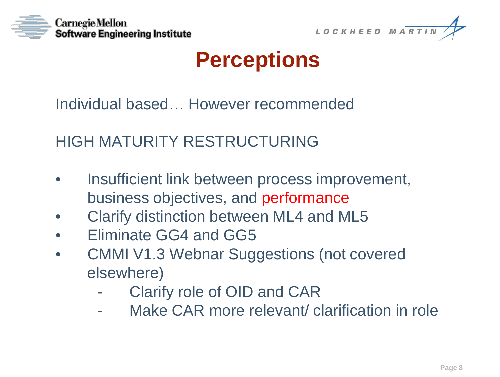



### **Perceptions**

Individual based… However recommended

HIGH MATURITY RESTRUCTURING

- Insufficient link between process improvement, business objectives, and performance
- Clarify distinction between ML4 and ML5
- Eliminate GG4 and GG5
- CMMI V1.3 Webnar Suggestions (not covered elsewhere)
	- Clarify role of OID and CAR
	- Make CAR more relevant/ clarification in role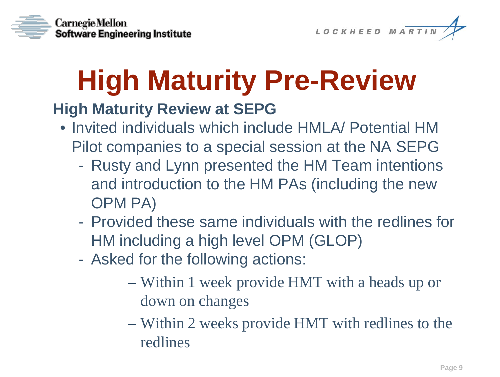



# **High Maturity Pre-Review**

#### **High Maturity Review at SEPG**

- Invited individuals which include HMLA/ Potential HM Pilot companies to a special session at the NA SEPG
	- Rusty and Lynn presented the HM Team intentions and introduction to the HM PAs (including the new OPM PA)
	- Provided these same individuals with the redlines for HM including a high level OPM (GLOP)
	- Asked for the following actions:
		- Within 1 week provide HMT with a heads up or down on changes
		- Within 2 weeks provide HMT with redlines to the redlines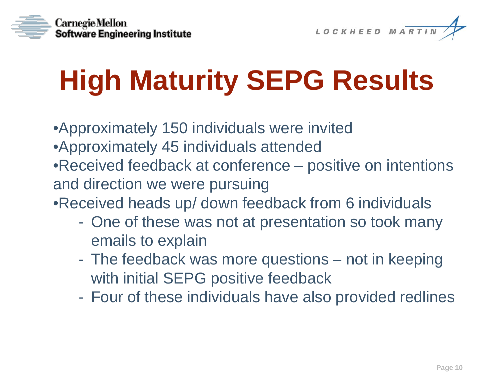



# **High Maturity SEPG Results**

- •Approximately 150 individuals were invited
- •Approximately 45 individuals attended
- •Received feedback at conference positive on intentions and direction we were pursuing

•Received heads up/ down feedback from 6 individuals

- One of these was not at presentation so took many emails to explain
- The feedback was more questions not in keeping with initial SEPG positive feedback
- Four of these individuals have also provided redlines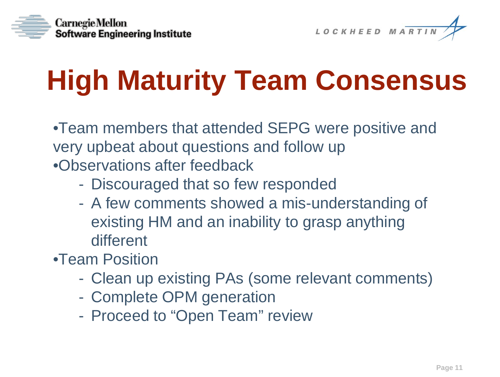



# **High Maturity Team Consensus**

•Team members that attended SEPG were positive and very upbeat about questions and follow up •Observations after feedback

- Discouraged that so few responded
- A few comments showed a mis-understanding of existing HM and an inability to grasp anything different
- •Team Position
	- Clean up existing PAs (some relevant comments)
	- Complete OPM generation
	- Proceed to "Open Team" review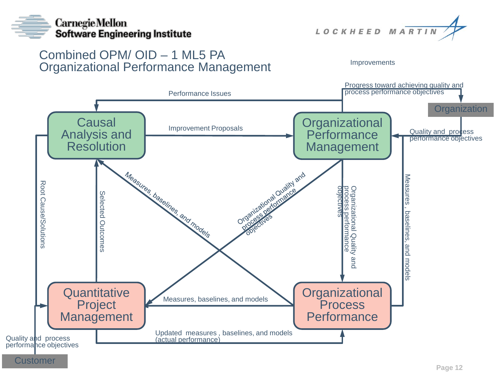



#### Combined OPM/ OID – 1 ML5 PA Organizational Performance Management

Improvements

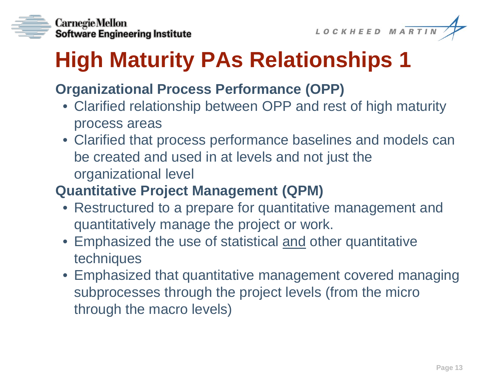

LOCKHEED MARTIN

## **High Maturity PAs Relationships 1**

#### **Organizational Process Performance (OPP)**

- Clarified relationship between OPP and rest of high maturity process areas
- Clarified that process performance baselines and models can be created and used in at levels and not just the organizational level

#### **Quantitative Project Management (QPM)**

- Restructured to a prepare for quantitative management and quantitatively manage the project or work.
- Emphasized the use of statistical and other quantitative techniques
- Emphasized that quantitative management covered managing subprocesses through the project levels (from the micro through the macro levels)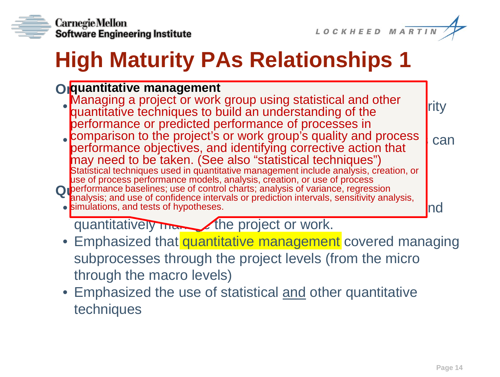



## **High Maturity PAs Relationships 1**

#### **Orguantitative management**<br> **OPP Accessing a project proves** we waive at attitised

- Mariaging a project of work group using statistical and other<br>quantitative techniques to build an understanding of the performance or predicted performance of processes in Managing a project or work group using statistical and other
- $\bullet$  comparison to the project's or work group's quality and process  $\bullet$  can net can net can net can net can net can net can net can net can net can net can net can net can net can net can net can net can net can net can performance espectives, and normiging concentre determing Statistical techniques used in quantitative management include analysis, creation, or<br>use of process performance models, analysis, creation, or use of process **Q** performance baselines; use of control charts; analysis of variance, regression<br>analysis: and use of confidence intervals or prediction intervals, sensitivity ana  $\bullet$  simulations, and tests of hypotheses. The compare for  $\bullet$  and  $\bullet$   $\bullet$   $\bullet$   $\bullet$   $\bullet$   $\bullet$ performance objectives, and identifying corrective action that use of process performance models, analysis, creation, or use of process analysis; and use of confidence intervals or prediction intervals, sensitivity analysis,

quantitatively many the project or work.

- Emphasized that quantitative management covered managing subprocesses through the project levels (from the micro through the macro levels)
- Emphasized the use of statistical and other quantitative techniques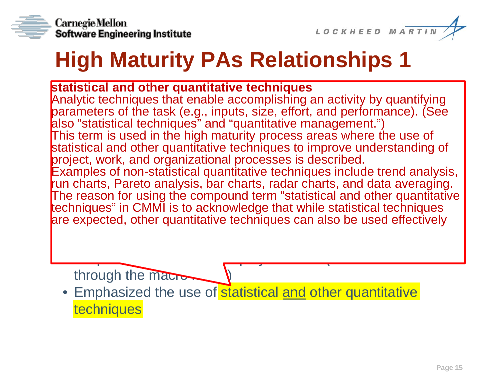



## **High Maturity PAs Relationships 1**

**Statistical and other quantitative techniques**<br>Constitution techniques that example accomplishing an activ iary the commutes that enable accompositing an activity by quantifying<br>irameters of the task (e.g. inputs, size, effort, and performance). (See "statistical tech This term is used in the high maturity process areas where the use of This term is used in the high maturity process areas where the use of be calculated and used in attenuative committee to improve and mples of non-statistica<br>charte Darete analysi **The reason for using the compound term** "statistical and other quantitative The reason for using the compound term techniques" in CMMI is to acknowledge that while statistical techniques are expected, other quantitative techniques can also be used effectively Analytic techniques that enable accomplishing an activity by quantifying parameters of the task (e.g., inputs, size, effort, and performance). (See also "statistical techniques" and "quantitative management.") statistical and other quantitative techniques to improve understanding of project, work, and organizational processes is described. Examples of non-statistical quantitative techniques include trend analysis, run charts, Pareto analysis, bar charts, radar charts, and data averaging.

through the macro-

• Emphasized the use of statistical and other quantitative **techniques** 

subprocesses the project levels (from the microscopic levels (from the microscopic levels (from the microscopi<br>The microscopic levels (from the microscopic levels (from the microscopic levels (from the microscopic) (from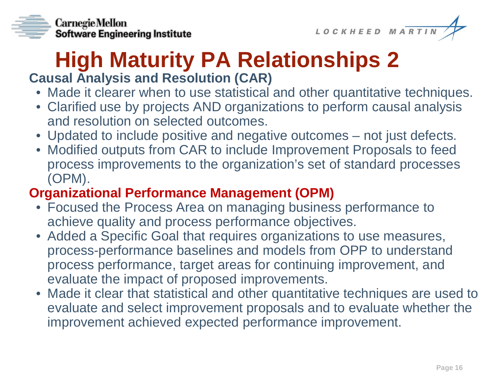



#### **High Maturity PA Relationships 2 Causal Analysis and Resolution (CAR)**

#### • Made it clearer when to use statistical and other quantitative techniques.

- Clarified use by projects AND organizations to perform causal analysis and resolution on selected outcomes.
- Updated to include positive and negative outcomes not just defects.
- Modified outputs from CAR to include Improvement Proposals to feed process improvements to the organization's set of standard processes (OPM).

#### **Organizational Performance Management (OPM)**

- Focused the Process Area on managing business performance to achieve quality and process performance objectives.
- Added a Specific Goal that requires organizations to use measures, process-performance baselines and models from OPP to understand process performance, target areas for continuing improvement, and evaluate the impact of proposed improvements.
- Made it clear that statistical and other quantitative techniques are used to evaluate and select improvement proposals and to evaluate whether the improvement achieved expected performance improvement.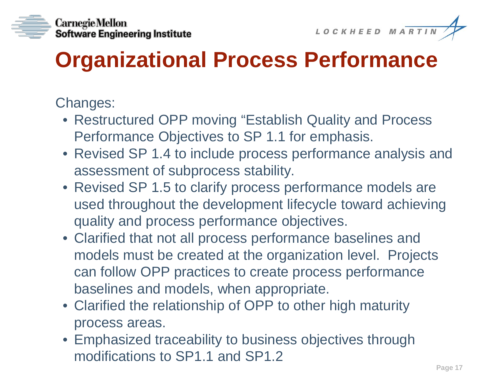



## **Organizational Process Performance**

- Restructured OPP moving "Establish Quality and Process Performance Objectives to SP 1.1 for emphasis.
- Revised SP 1.4 to include process performance analysis and assessment of subprocess stability.
- Revised SP 1.5 to clarify process performance models are used throughout the development lifecycle toward achieving quality and process performance objectives.
- Clarified that not all process performance baselines and models must be created at the organization level. Projects can follow OPP practices to create process performance baselines and models, when appropriate.
- Clarified the relationship of OPP to other high maturity process areas.
- Emphasized traceability to business objectives through modifications to SP1.1 and SP1.2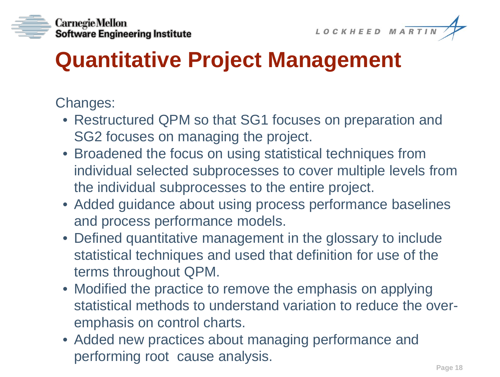



## **Quantitative Project Management**

- Restructured QPM so that SG1 focuses on preparation and SG2 focuses on managing the project.
- Broadened the focus on using statistical techniques from individual selected subprocesses to cover multiple levels from the individual subprocesses to the entire project.
- Added guidance about using process performance baselines and process performance models.
- Defined quantitative management in the glossary to include statistical techniques and used that definition for use of the terms throughout QPM.
- Modified the practice to remove the emphasis on applying statistical methods to understand variation to reduce the overemphasis on control charts.
- Added new practices about managing performance and performing root cause analysis.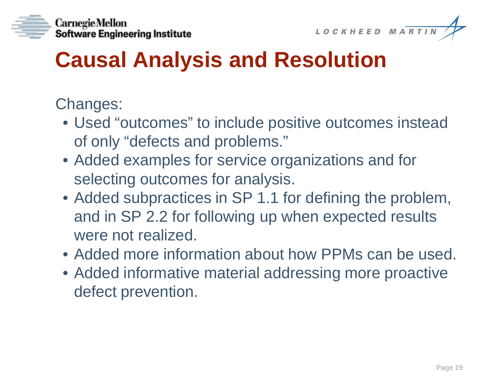



## **Causal Analysis and Resolution**

- Used "outcomes" to include positive outcomes instead of only "defects and problems."
- Added examples for service organizations and for selecting outcomes for analysis.
- Added subpractices in SP 1.1 for defining the problem, and in SP 2.2 for following up when expected results were not realized.
- Added more information about how PPMs can be used.
- Added informative material addressing more proactive defect prevention.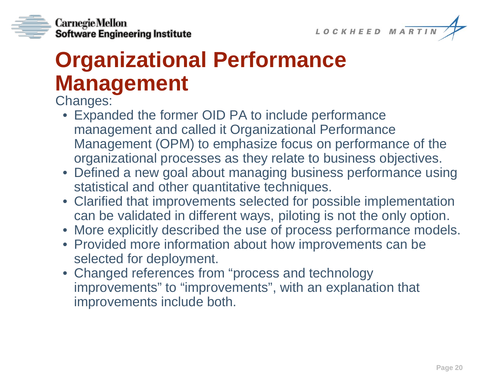

**CarnegieMellon** Software Engineering Institute

## **Organizational Performance Management**

- Expanded the former OID PA to include performance management and called it Organizational Performance Management (OPM) to emphasize focus on performance of the organizational processes as they relate to business objectives.
- Defined a new goal about managing business performance using statistical and other quantitative techniques.
- Clarified that improvements selected for possible implementation can be validated in different ways, piloting is not the only option.
- More explicitly described the use of process performance models.
- Provided more information about how improvements can be selected for deployment.
- Changed references from "process and technology improvements" to "improvements", with an explanation that improvements include both.